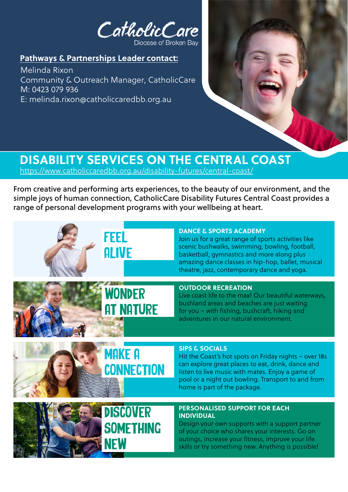CatholicCare Diocese of Broken Bay

**Pathways & Partnerships Leader contact:**

Melinda Rixon Community & Outreach Manager, CatholicCare M: 0423 079 936 E: melinda.rixon@catholiccaredbb.org.au



## **DISABILITY SERVICES ON THE CENTRAL COAST**

<https://www.catholiccaredbb.org.au/disability-futures/central-coast/>

From creative and performing arts experiences, to the beauty of our environment, and the simple joys of human connection, CatholicCare Disability Futures Central Coast provides a range of personal development programs with your wellbeing at heart.